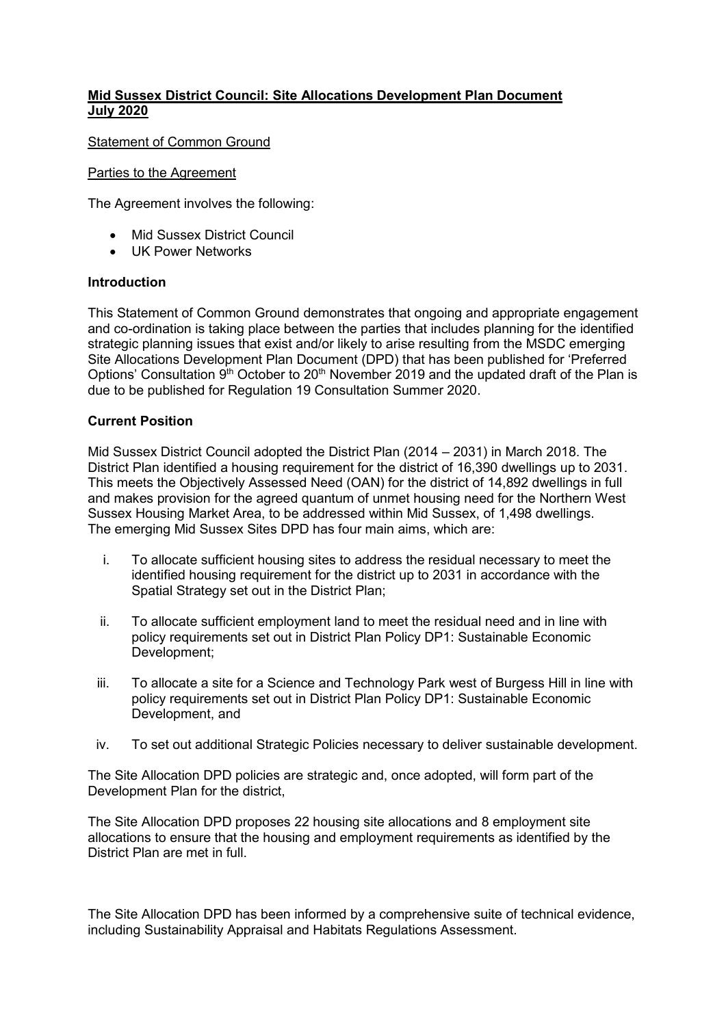# **Mid Sussex District Council: Site Allocations Development Plan Document July 2020**

Statement of Common Ground

### Parties to the Agreement

The Agreement involves the following:

- Mid Sussex District Council
- **UK Power Networks**

## **Introduction**

This Statement of Common Ground demonstrates that ongoing and appropriate engagement and co-ordination is taking place between the parties that includes planning for the identified strategic planning issues that exist and/or likely to arise resulting from the MSDC emerging Site Allocations Development Plan Document (DPD) that has been published for 'Preferred Options' Consultation 9<sup>th</sup> October to 20<sup>th</sup> November 2019 and the updated draft of the Plan is due to be published for Regulation 19 Consultation Summer 2020.

# **Current Position**

Mid Sussex District Council adopted the District Plan (2014 – 2031) in March 2018. The District Plan identified a housing requirement for the district of 16,390 dwellings up to 2031. This meets the Objectively Assessed Need (OAN) for the district of 14,892 dwellings in full and makes provision for the agreed quantum of unmet housing need for the Northern West Sussex Housing Market Area, to be addressed within Mid Sussex, of 1,498 dwellings. The emerging Mid Sussex Sites DPD has four main aims, which are:

- i. To allocate sufficient housing sites to address the residual necessary to meet the identified housing requirement for the district up to 2031 in accordance with the Spatial Strategy set out in the District Plan;
- ii. To allocate sufficient employment land to meet the residual need and in line with policy requirements set out in District Plan Policy DP1: Sustainable Economic Development;
- iii. To allocate a site for a Science and Technology Park west of Burgess Hill in line with policy requirements set out in District Plan Policy DP1: Sustainable Economic Development, and
- iv. To set out additional Strategic Policies necessary to deliver sustainable development.

The Site Allocation DPD policies are strategic and, once adopted, will form part of the Development Plan for the district,

The Site Allocation DPD proposes 22 housing site allocations and 8 employment site allocations to ensure that the housing and employment requirements as identified by the District Plan are met in full.

The Site Allocation DPD has been informed by a comprehensive suite of technical evidence, including Sustainability Appraisal and Habitats Regulations Assessment.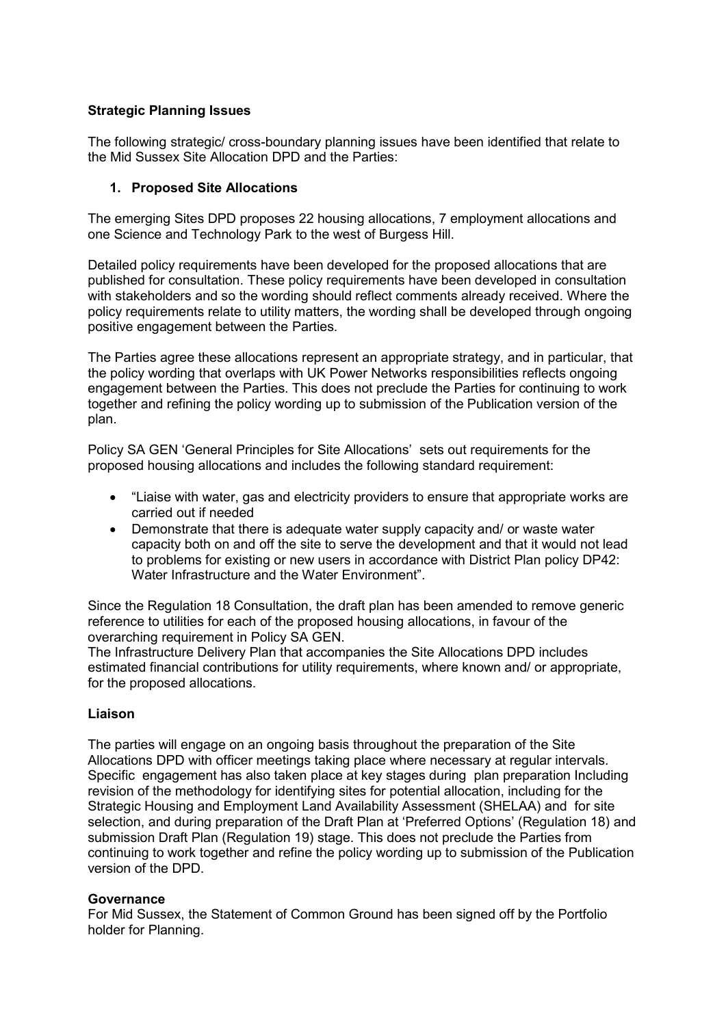# **Strategic Planning Issues**

The following strategic/ cross-boundary planning issues have been identified that relate to the Mid Sussex Site Allocation DPD and the Parties:

# **1. Proposed Site Allocations**

The emerging Sites DPD proposes 22 housing allocations, 7 employment allocations and one Science and Technology Park to the west of Burgess Hill.

Detailed policy requirements have been developed for the proposed allocations that are published for consultation. These policy requirements have been developed in consultation with stakeholders and so the wording should reflect comments already received. Where the policy requirements relate to utility matters, the wording shall be developed through ongoing positive engagement between the Parties.

The Parties agree these allocations represent an appropriate strategy, and in particular, that the policy wording that overlaps with UK Power Networks responsibilities reflects ongoing engagement between the Parties. This does not preclude the Parties for continuing to work together and refining the policy wording up to submission of the Publication version of the plan.

Policy SA GEN 'General Principles for Site Allocations' sets out requirements for the proposed housing allocations and includes the following standard requirement:

- "Liaise with water, gas and electricity providers to ensure that appropriate works are carried out if needed
- Demonstrate that there is adequate water supply capacity and/ or waste water capacity both on and off the site to serve the development and that it would not lead to problems for existing or new users in accordance with District Plan policy DP42: Water Infrastructure and the Water Environment".

Since the Regulation 18 Consultation, the draft plan has been amended to remove generic reference to utilities for each of the proposed housing allocations, in favour of the overarching requirement in Policy SA GEN.

The Infrastructure Delivery Plan that accompanies the Site Allocations DPD includes estimated financial contributions for utility requirements, where known and/ or appropriate, for the proposed allocations.

#### **Liaison**

The parties will engage on an ongoing basis throughout the preparation of the Site Allocations DPD with officer meetings taking place where necessary at regular intervals. Specific engagement has also taken place at key stages during plan preparation Including revision of the methodology for identifying sites for potential allocation, including for the Strategic Housing and Employment Land Availability Assessment (SHELAA) and for site selection, and during preparation of the Draft Plan at 'Preferred Options' (Regulation 18) and submission Draft Plan (Regulation 19) stage. This does not preclude the Parties from continuing to work together and refine the policy wording up to submission of the Publication version of the DPD.

#### **Governance**

For Mid Sussex, the Statement of Common Ground has been signed off by the Portfolio holder for Planning.